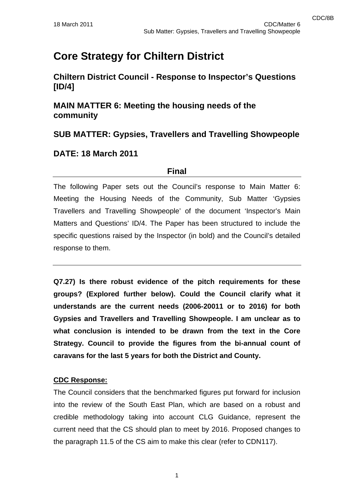# **Core Strategy for Chiltern District**

**Chiltern District Council - Response to Inspector's Questions [ID/4]** 

**MAIN MATTER 6: Meeting the housing needs of the community** 

**SUB MATTER: Gypsies, Travellers and Travelling Showpeople** 

#### **DATE: 18 March 2011**

#### **Final**

The following Paper sets out the Council's response to Main Matter 6: Meeting the Housing Needs of the Community, Sub Matter 'Gypsies Travellers and Travelling Showpeople' of the document 'Inspector's Main Matters and Questions' ID/4. The Paper has been structured to include the specific questions raised by the Inspector (in bold) and the Council's detailed response to them.

**Q7.27) Is there robust evidence of the pitch requirements for these groups? (Explored further below). Could the Council clarify what it understands are the current needs (2006-20011 or to 2016) for both Gypsies and Travellers and Travelling Showpeople. I am unclear as to what conclusion is intended to be drawn from the text in the Core Strategy. Council to provide the figures from the bi-annual count of caravans for the last 5 years for both the District and County.** 

#### **CDC Response:**

The Council considers that the benchmarked figures put forward for inclusion into the review of the South East Plan, which are based on a robust and credible methodology taking into account CLG Guidance, represent the current need that the CS should plan to meet by 2016. Proposed changes to the paragraph 11.5 of the CS aim to make this clear (refer to CDN117).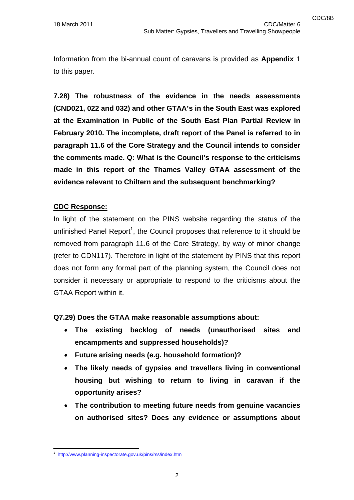Information from the bi-annual count of caravans is provided as **Appendix** 1 to this paper.

**7.28) The robustness of the evidence in the needs assessments (CND021, 022 and 032) and other GTAA's in the South East was explored at the Examination in Public of the South East Plan Partial Review in February 2010. The incomplete, draft report of the Panel is referred to in paragraph 11.6 of the Core Strategy and the Council intends to consider the comments made. Q: What is the Council's response to the criticisms made in this report of the Thames Valley GTAA assessment of the evidence relevant to Chiltern and the subsequent benchmarking?** 

#### **CDC Response:**

In light of the statement on the PINS website regarding the status of the unfinished Panel Report<sup>1</sup>, the Council proposes that reference to it should be removed from paragraph 11.6 of the Core Strategy, by way of minor change (refer to CDN117). Therefore in light of the statement by PINS that this report does not form any formal part of the planning system, the Council does not consider it necessary or appropriate to respond to the criticisms about the GTAA Report within it.

**Q7.29) Does the GTAA make reasonable assumptions about:** 

- **The existing backlog of needs (unauthorised sites and encampments and suppressed households)?**
- **Future arising needs (e.g. household formation)?**
- **The likely needs of gypsies and travellers living in conventional housing but wishing to return to living in caravan if the opportunity arises?**
- **The contribution to meeting future needs from genuine vacancies on authorised sites? Does any evidence or assumptions about**

<sup>1</sup> http://www.planning-inspectorate.gov.uk/pins/rss/index.htm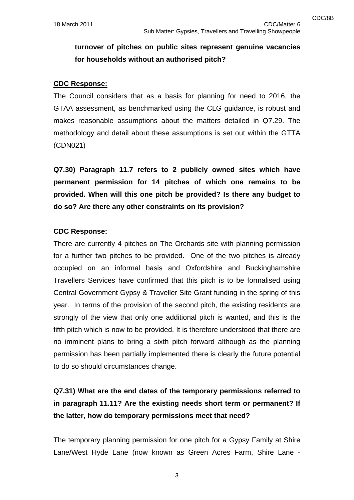### **turnover of pitches on public sites represent genuine vacancies for households without an authorised pitch?**

#### **CDC Response:**

The Council considers that as a basis for planning for need to 2016, the GTAA assessment, as benchmarked using the CLG guidance, is robust and makes reasonable assumptions about the matters detailed in Q7.29. The methodology and detail about these assumptions is set out within the GTTA (CDN021)

**Q7.30) Paragraph 11.7 refers to 2 publicly owned sites which have permanent permission for 14 pitches of which one remains to be provided. When will this one pitch be provided? Is there any budget to do so? Are there any other constraints on its provision?** 

#### **CDC Response:**

There are currently 4 pitches on The Orchards site with planning permission for a further two pitches to be provided. One of the two pitches is already occupied on an informal basis and Oxfordshire and Buckinghamshire Travellers Services have confirmed that this pitch is to be formalised using Central Government Gypsy & Traveller Site Grant funding in the spring of this year. In terms of the provision of the second pitch, the existing residents are strongly of the view that only one additional pitch is wanted, and this is the fifth pitch which is now to be provided. It is therefore understood that there are no imminent plans to bring a sixth pitch forward although as the planning permission has been partially implemented there is clearly the future potential to do so should circumstances change.

### **Q7.31) What are the end dates of the temporary permissions referred to in paragraph 11.11? Are the existing needs short term or permanent? If the latter, how do temporary permissions meet that need?**

The temporary planning permission for one pitch for a Gypsy Family at Shire Lane/West Hyde Lane (now known as Green Acres Farm, Shire Lane -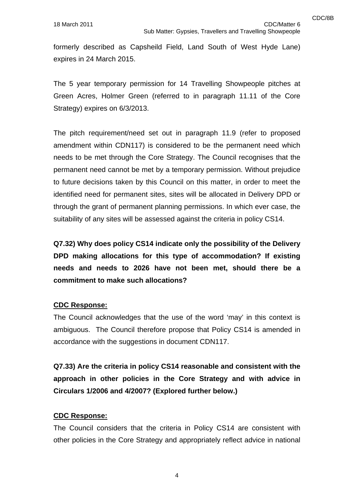formerly described as Capsheild Field, Land South of West Hyde Lane) expires in 24 March 2015.

The 5 year temporary permission for 14 Travelling Showpeople pitches at Green Acres, Holmer Green (referred to in paragraph 11.11 of the Core Strategy) expires on 6/3/2013.

The pitch requirement/need set out in paragraph 11.9 (refer to proposed amendment within CDN117) is considered to be the permanent need which needs to be met through the Core Strategy. The Council recognises that the permanent need cannot be met by a temporary permission. Without prejudice to future decisions taken by this Council on this matter, in order to meet the identified need for permanent sites, sites will be allocated in Delivery DPD or through the grant of permanent planning permissions. In which ever case, the suitability of any sites will be assessed against the criteria in policy CS14.

**Q7.32) Why does policy CS14 indicate only the possibility of the Delivery DPD making allocations for this type of accommodation? If existing needs and needs to 2026 have not been met, should there be a commitment to make such allocations?** 

#### **CDC Response:**

The Council acknowledges that the use of the word 'may' in this context is ambiguous. The Council therefore propose that Policy CS14 is amended in accordance with the suggestions in document CDN117.

**Q7.33) Are the criteria in policy CS14 reasonable and consistent with the approach in other policies in the Core Strategy and with advice in Circulars 1/2006 and 4/2007? (Explored further below.)** 

#### **CDC Response:**

The Council considers that the criteria in Policy CS14 are consistent with other policies in the Core Strategy and appropriately reflect advice in national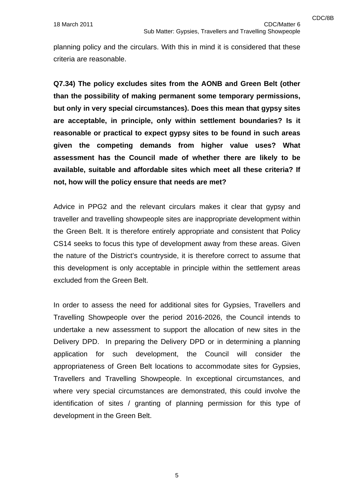planning policy and the circulars. With this in mind it is considered that these criteria are reasonable.

**Q7.34) The policy excludes sites from the AONB and Green Belt (other than the possibility of making permanent some temporary permissions, but only in very special circumstances). Does this mean that gypsy sites are acceptable, in principle, only within settlement boundaries? Is it reasonable or practical to expect gypsy sites to be found in such areas given the competing demands from higher value uses? What assessment has the Council made of whether there are likely to be available, suitable and affordable sites which meet all these criteria? If not, how will the policy ensure that needs are met?** 

Advice in PPG2 and the relevant circulars makes it clear that gypsy and traveller and travelling showpeople sites are inappropriate development within the Green Belt. It is therefore entirely appropriate and consistent that Policy CS14 seeks to focus this type of development away from these areas. Given the nature of the District's countryside, it is therefore correct to assume that this development is only acceptable in principle within the settlement areas excluded from the Green Belt.

In order to assess the need for additional sites for Gypsies, Travellers and Travelling Showpeople over the period 2016-2026, the Council intends to undertake a new assessment to support the allocation of new sites in the Delivery DPD. In preparing the Delivery DPD or in determining a planning application for such development, the Council will consider the appropriateness of Green Belt locations to accommodate sites for Gypsies, Travellers and Travelling Showpeople. In exceptional circumstances, and where very special circumstances are demonstrated, this could involve the identification of sites / granting of planning permission for this type of development in the Green Belt.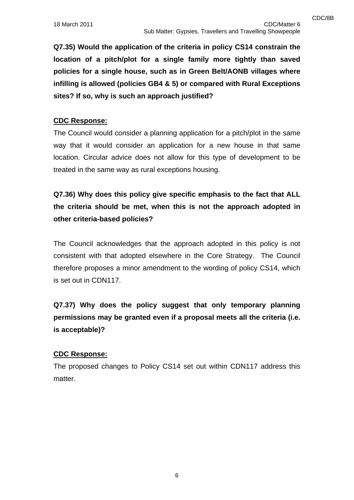**Q7.35) Would the application of the criteria in policy CS14 constrain the location of a pitch/plot for a single family more tightly than saved policies for a single house, such as in Green Belt/AONB villages where infilling is allowed (policies GB4 & 5) or compared with Rural Exceptions sites? If so, why is such an approach justified?** 

#### **CDC Response:**

The Council would consider a planning application for a pitch/plot in the same way that it would consider an application for a new house in that same location. Circular advice does not allow for this type of development to be treated in the same way as rural exceptions housing.

**Q7.36) Why does this policy give specific emphasis to the fact that ALL the criteria should be met, when this is not the approach adopted in other criteria-based policies?** 

The Council acknowledges that the approach adopted in this policy is not consistent with that adopted elsewhere in the Core Strategy. The Council therefore proposes a minor amendment to the wording of policy CS14, which is set out in CDN117.

**Q7.37) Why does the policy suggest that only temporary planning permissions may be granted even if a proposal meets all the criteria (i.e. is acceptable)?** 

#### **CDC Response:**

The proposed changes to Policy CS14 set out within CDN117 address this matter.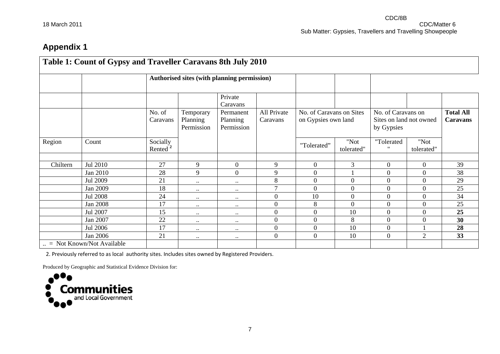## **Appendix 1**

|          |                                    |                                 |                                     | Authorised sites (with planning permission) |                         |                                                 |                    |                                                             |                    |                              |
|----------|------------------------------------|---------------------------------|-------------------------------------|---------------------------------------------|-------------------------|-------------------------------------------------|--------------------|-------------------------------------------------------------|--------------------|------------------------------|
|          |                                    |                                 |                                     | Private<br>Caravans                         |                         |                                                 |                    |                                                             |                    |                              |
|          |                                    | No. of<br>Caravans              | Temporary<br>Planning<br>Permission | Permanent<br>Planning<br>Permission         | All Private<br>Caravans | No. of Caravans on Sites<br>on Gypsies own land |                    | No. of Caravans on<br>Sites on land not owned<br>by Gypsies |                    | <b>Total All</b><br>Caravans |
| Region   | Count                              | Socially<br>Rented <sup>2</sup> |                                     |                                             |                         | "Tolerated"                                     | "Not<br>tolerated" | "Tolerated<br>$^{\prime\prime}$                             | "Not<br>tolerated" |                              |
|          |                                    |                                 |                                     |                                             |                         |                                                 |                    |                                                             |                    |                              |
| Chiltern | Jul 2010                           | 27                              | 9                                   | $\boldsymbol{0}$                            | 9                       | $\overline{0}$                                  | $\mathfrak{Z}$     | $\boldsymbol{0}$                                            | $\boldsymbol{0}$   | 39                           |
|          | Jan 2010                           | 28                              | 9                                   | $\overline{0}$                              | 9                       | $\overline{0}$                                  |                    | $\overline{0}$                                              | $\overline{0}$     | 38                           |
|          | Jul 2009                           | 21                              | $\bullet$ .                         | $\bullet\bullet$                            | 8<br>$\overline{7}$     | $\overline{0}$                                  | $\boldsymbol{0}$   | $\overline{0}$                                              | $\overline{0}$     | 29                           |
|          | Jan 2009                           | 18                              | $\ddotsc$                           | $\bullet\bullet$                            |                         | 0                                               | $\overline{0}$     | $\overline{0}$                                              | $\Omega$           | 25                           |
|          | Jul 2008                           | 24                              | $\bullet$ .                         | $\bullet\bullet$                            | $\boldsymbol{0}$        | 10                                              | $\overline{0}$     | $\overline{0}$                                              | $\overline{0}$     | 34                           |
|          | Jan 2008                           | 17                              | $\ldots$                            | $\bullet\bullet$                            | $\boldsymbol{0}$        | 8                                               | $\boldsymbol{0}$   | $\boldsymbol{0}$                                            | $\overline{0}$     | 25                           |
|          | Jul 2007                           | 15                              | $\ldots$                            | $\bullet\bullet$                            | $\boldsymbol{0}$        | $\boldsymbol{0}$                                | 10                 | $\boldsymbol{0}$                                            | $\overline{0}$     | 25                           |
|          | Jan 2007                           | 22                              | $\ldots$                            | $\bullet\bullet$                            | $\boldsymbol{0}$        | $\overline{0}$                                  | 8                  | $\overline{0}$                                              | $\overline{0}$     | 30                           |
|          | Jul 2006                           | 17                              | $\bullet$ .                         | $\bullet\bullet$                            | $\boldsymbol{0}$        | $\overline{0}$                                  | 10                 | $\boldsymbol{0}$                                            |                    | 28                           |
|          | Jan 2006                           | 21                              | $\bullet$ .                         | $\ddotsc$                                   | $\mathbf{0}$            | $\overline{0}$                                  | 10                 | $\boldsymbol{0}$                                            | $\overline{2}$     | 33                           |
|          | $\ldots$ = Not Known/Not Available |                                 |                                     |                                             |                         |                                                 |                    |                                                             |                    |                              |

2. Previously referred to as local authority sites. Includes sites owned by Registered Providers.

Produced by Geographic and Statistical Evidence Division for: